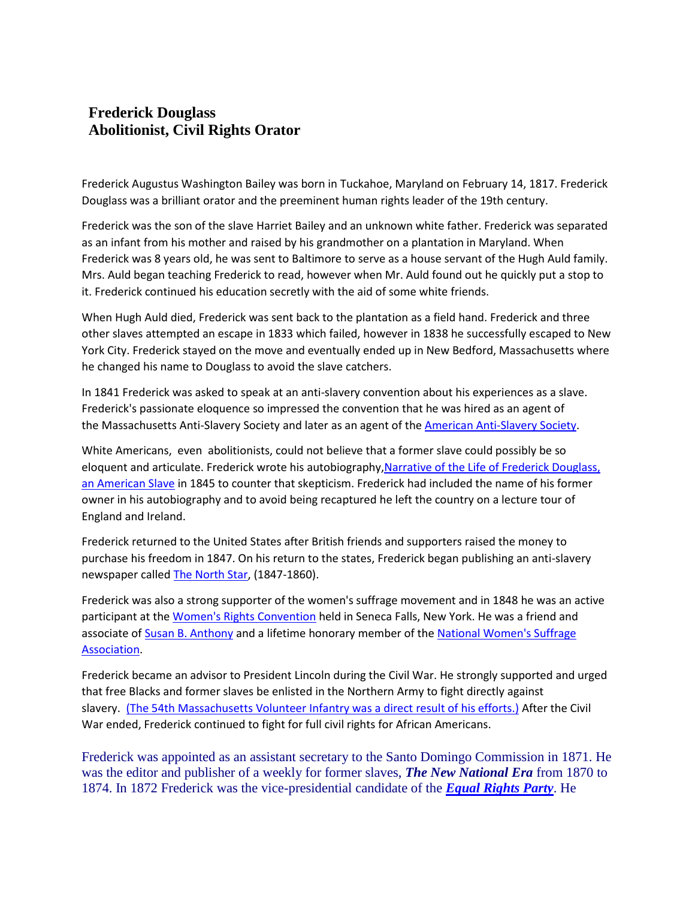## **Frederick Douglass Abolitionist, Civil Rights Orator**

Frederick Augustus Washington Bailey was born in Tuckahoe, Maryland on February 14, 1817. Frederick Douglass was a brilliant orator and the preeminent human rights leader of the 19th century.

Frederick was the son of the slave Harriet Bailey and an unknown white father. Frederick was separated as an infant from his mother and raised by his grandmother on a plantation in Maryland. When Frederick was 8 years old, he was sent to Baltimore to serve as a house servant of the Hugh Auld family. Mrs. Auld began teaching Frederick to read, however when Mr. Auld found out he quickly put a stop to it. Frederick continued his education secretly with the aid of some white friends.

When Hugh Auld died, Frederick was sent back to the plantation as a field hand. Frederick and three other slaves attempted an escape in 1833 which failed, however in 1838 he successfully escaped to New York City. Frederick stayed on the move and eventually ended up in New Bedford, Massachusetts where he changed his name to Douglass to avoid the slave catchers.

In 1841 Frederick was asked to speak at an anti-slavery convention about his experiences as a slave. Frederick's passionate eloquence so impressed the convention that he was hired as an agent of the Massachusetts Anti-Slavery Society and later as an agent of the [American Anti-Slavery Society.](http://douglass.speech.nwu.edu/aass_a58.htm)

White Americans, even abolitionists, could not believe that a former slave could possibly be so eloquent and articulate. Frederick wrote his autobiography[,Narrative of the Life of Frederick Douglass,](http://sunsite.berkeley.edu/Literature/Douglass/Autobiography/)  [an American Slave](http://sunsite.berkeley.edu/Literature/Douglass/Autobiography/) in 1845 to counter that skepticism. Frederick had included the name of his former owner in his autobiography and to avoid being recaptured he left the country on a lecture tour of England and Ireland.

Frederick returned to the United States after British friends and supporters raised the money to purchase his freedom in 1847. On his return to the states, Frederick began publishing an anti-slavery newspaper called [The North Star,](http://www.americaslibrary.gov/pages/aa_douglass_leader_1_e.html) (1847-1860).

Frederick was also a strong supporter of the women's suffrage movement and in 1848 he was an active participant at the [Women's Rights Convention](http://lcweb.loc.gov/exhibits/treasures/trr040.html) held in Seneca Falls, New York. He was a friend and associate of [Susan B. Anthony](http://encarta.msn.com/find/Concise.asp?ti=006D7000) and a lifetime honorary member of the [National Women's Suffrage](http://www.britannica.com/women/articles/National_Woman_Suffrage_Association.html)  [Association.](http://www.britannica.com/women/articles/National_Woman_Suffrage_Association.html)

Frederick became an advisor to President Lincoln during the Civil War. He strongly supported and urged that free Blacks and former slaves be enlisted in the Northern Army to fight directly against slavery. [\(The 54th Massachusetts Volunteer Infantry was a direct result of his efforts.\)](http://afroamhistory.about.com/library/weekly/aa052801a.htm) After the Civil War ended, Frederick continued to fight for full civil rights for African Americans.

Frederick was appointed as an assistant secretary to the Santo Domingo Commission in 1871. He was the editor and publisher of a weekly for former slaves, *The New National Era* from 1870 to 1874. In 1872 Frederick was the vice-presidential candidate of the *[Equal Rights Party](http://www.victoria-woodhull.com/wc060800.htm)*. He